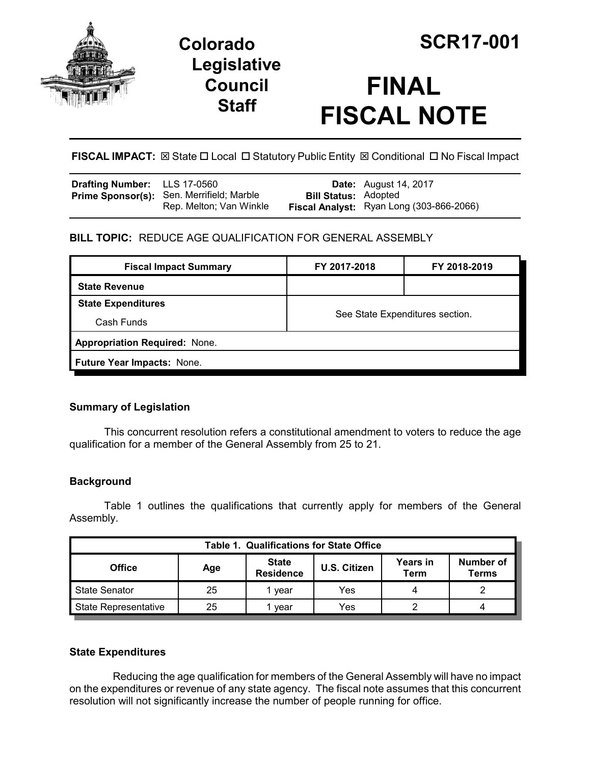



# **FINAL FISCAL NOTE**

**FISCAL IMPACT:**  $\boxtimes$  **State □ Local □ Statutory Public Entity**  $\boxtimes$  **Conditional □ No Fiscal Impact** 

| <b>Drafting Number:</b> LLS 17-0560 |                                                                      |                             | <b>Date:</b> August 14, 2017             |
|-------------------------------------|----------------------------------------------------------------------|-----------------------------|------------------------------------------|
|                                     | Prime Sponsor(s): Sen. Merrifield; Marble<br>Rep. Melton; Van Winkle | <b>Bill Status: Adopted</b> | Fiscal Analyst: Ryan Long (303-866-2066) |
|                                     |                                                                      |                             |                                          |

## **BILL TOPIC:** REDUCE AGE QUALIFICATION FOR GENERAL ASSEMBLY

| See State Expenditures section. |  |                                      |  |  |  |
|---------------------------------|--|--------------------------------------|--|--|--|
|                                 |  | <b>Appropriation Required: None.</b> |  |  |  |
| Future Year Impacts: None.      |  |                                      |  |  |  |
|                                 |  |                                      |  |  |  |

## **Summary of Legislation**

This concurrent resolution refers a constitutional amendment to voters to reduce the age qualification for a member of the General Assembly from 25 to 21.

## **Background**

Table 1 outlines the qualifications that currently apply for members of the General Assembly.

| <b>Table 1. Qualifications for State Office</b> |     |                                  |              |                         |                           |  |  |
|-------------------------------------------------|-----|----------------------------------|--------------|-------------------------|---------------------------|--|--|
| <b>Office</b>                                   | Age | <b>State</b><br><b>Residence</b> | U.S. Citizen | <b>Years in</b><br>Term | Number of<br><b>Terms</b> |  |  |
| <b>State Senator</b>                            | 25  | vear                             | Yes          |                         |                           |  |  |
| <b>State Representative</b>                     | 25  | vear                             | Yes          |                         |                           |  |  |

## **State Expenditures**

Reducing the age qualification for members of the General Assembly will have no impact on the expenditures or revenue of any state agency. The fiscal note assumes that this concurrent resolution will not significantly increase the number of people running for office.